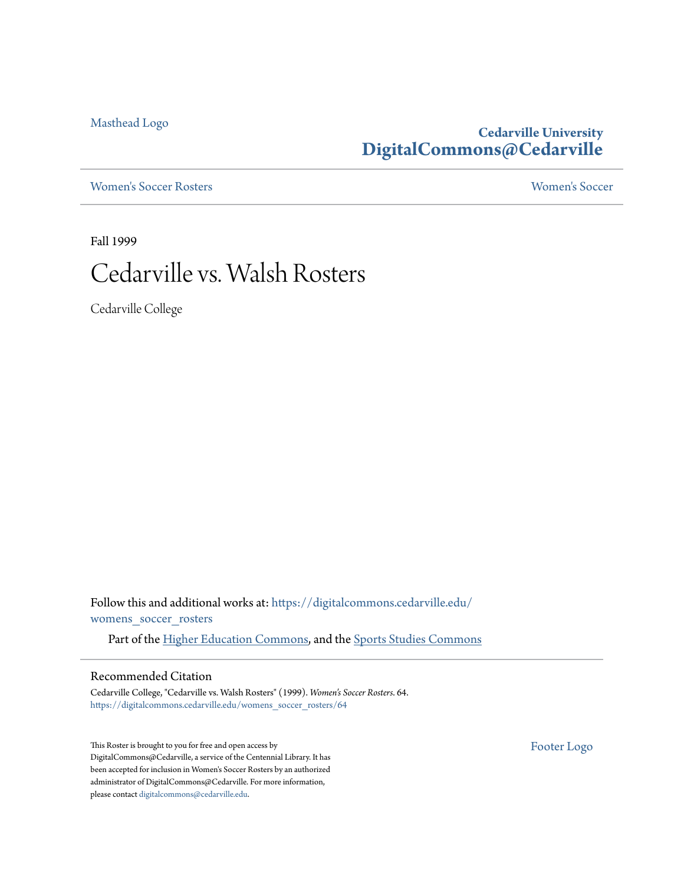[Masthead Logo](http://www.cedarville.edu/?utm_source=digitalcommons.cedarville.edu%2Fwomens_soccer_rosters%2F64&utm_medium=PDF&utm_campaign=PDFCoverPages)

## **Cedarville University [DigitalCommons@Cedarville](https://digitalcommons.cedarville.edu?utm_source=digitalcommons.cedarville.edu%2Fwomens_soccer_rosters%2F64&utm_medium=PDF&utm_campaign=PDFCoverPages)**

[Women's Soccer Rosters](https://digitalcommons.cedarville.edu/womens_soccer_rosters?utm_source=digitalcommons.cedarville.edu%2Fwomens_soccer_rosters%2F64&utm_medium=PDF&utm_campaign=PDFCoverPages) [Women's Soccer](https://digitalcommons.cedarville.edu/womens_soccer?utm_source=digitalcommons.cedarville.edu%2Fwomens_soccer_rosters%2F64&utm_medium=PDF&utm_campaign=PDFCoverPages)

Fall 1999

# Cedarville vs. Walsh Rosters

Cedarville College

Follow this and additional works at: [https://digitalcommons.cedarville.edu/](https://digitalcommons.cedarville.edu/womens_soccer_rosters?utm_source=digitalcommons.cedarville.edu%2Fwomens_soccer_rosters%2F64&utm_medium=PDF&utm_campaign=PDFCoverPages) [womens\\_soccer\\_rosters](https://digitalcommons.cedarville.edu/womens_soccer_rosters?utm_source=digitalcommons.cedarville.edu%2Fwomens_soccer_rosters%2F64&utm_medium=PDF&utm_campaign=PDFCoverPages)

Part of the [Higher Education Commons](http://network.bepress.com/hgg/discipline/1245?utm_source=digitalcommons.cedarville.edu%2Fwomens_soccer_rosters%2F64&utm_medium=PDF&utm_campaign=PDFCoverPages), and the [Sports Studies Commons](http://network.bepress.com/hgg/discipline/1198?utm_source=digitalcommons.cedarville.edu%2Fwomens_soccer_rosters%2F64&utm_medium=PDF&utm_campaign=PDFCoverPages)

### Recommended Citation

Cedarville College, "Cedarville vs. Walsh Rosters" (1999). *Women's Soccer Rosters*. 64. [https://digitalcommons.cedarville.edu/womens\\_soccer\\_rosters/64](https://digitalcommons.cedarville.edu/womens_soccer_rosters/64?utm_source=digitalcommons.cedarville.edu%2Fwomens_soccer_rosters%2F64&utm_medium=PDF&utm_campaign=PDFCoverPages)

This Roster is brought to you for free and open access by DigitalCommons@Cedarville, a service of the Centennial Library. It has been accepted for inclusion in Women's Soccer Rosters by an authorized administrator of DigitalCommons@Cedarville. For more information, please contact [digitalcommons@cedarville.edu.](mailto:digitalcommons@cedarville.edu)

[Footer Logo](http://www.cedarville.edu/Academics/Library.aspx?utm_source=digitalcommons.cedarville.edu%2Fwomens_soccer_rosters%2F64&utm_medium=PDF&utm_campaign=PDFCoverPages)